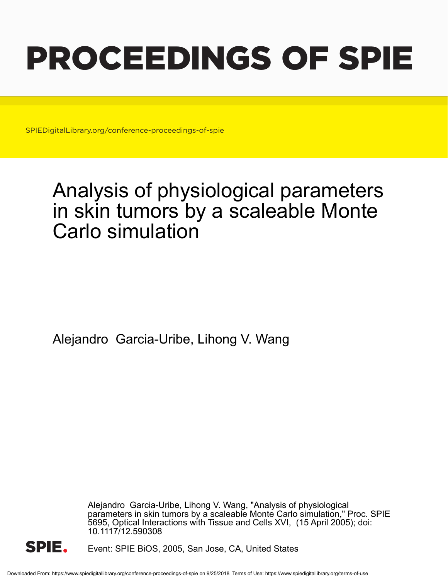# PROCEEDINGS OF SPIE

SPIEDigitalLibrary.org/conference-proceedings-of-spie

## Analysis of physiological parameters in skin tumors by a scaleable Monte Carlo simulation

Alejandro Garcia-Uribe, Lihong V. Wang

Alejandro Garcia-Uribe, Lihong V. Wang, "Analysis of physiological parameters in skin tumors by a scaleable Monte Carlo simulation," Proc. SPIE 5695, Optical Interactions with Tissue and Cells XVI, (15 April 2005); doi: 10.1117/12.590308



Event: SPIE BiOS, 2005, San Jose, CA, United States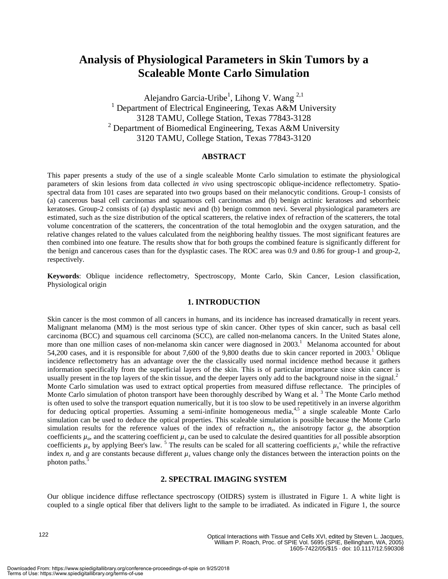### **Analysis of Physiological Parameters in Skin Tumors by a Scaleable Monte Carlo Simulation**

Alejandro Garcia-Uribe<sup>1</sup>, Lihong V. Wang<sup>2,1</sup> <sup>1</sup> Department of Electrical Engineering, Texas A&M University 3128 TAMU, College Station, Texas 77843-3128 <sup>2</sup> Department of Biomedical Engineering, Texas A&M University 3120 TAMU, College Station, Texas 77843-3120

#### **ABSTRACT**

This paper presents a study of the use of a single scaleable Monte Carlo simulation to estimate the physiological parameters of skin lesions from data collected *in vivo* using spectroscopic oblique-incidence reflectometry. Spatiospectral data from 101 cases are separated into two groups based on their melanocytic conditions. Group-1 consists of (a) cancerous basal cell carcinomas and squamous cell carcinomas and (b) benign actinic keratoses and seborrheic keratoses. Group-2 consists of (a) dysplastic nevi and (b) benign common nevi. Several physiological parameters are estimated, such as the size distribution of the optical scatterers, the relative index of refraction of the scatterers, the total volume concentration of the scatterers, the concentration of the total hemoglobin and the oxygen saturation, and the relative changes related to the values calculated from the neighboring healthy tissues. The most significant features are then combined into one feature. The results show that for both groups the combined feature is significantly different for the benign and cancerous cases than for the dysplastic cases. The ROC area was 0.9 and 0.86 for group-1 and group-2, respectively.

**Keywords**: Oblique incidence reflectometry, Spectroscopy, Monte Carlo, Skin Cancer, Lesion classification, Physiological origin

#### **1. INTRODUCTION**

Skin cancer is the most common of all cancers in humans, and its incidence has increased dramatically in recent years. Malignant melanoma (MM) is the most serious type of skin cancer. Other types of skin cancer, such as basal cell carcinoma (BCC) and squamous cell carcinoma (SCC), are called non-melanoma cancers. In the United States alone, more than one million cases of non-melanoma skin cancer were diagnosed in 2003.<sup>1</sup> Melanoma accounted for about 54,200 cases, and it is responsible for about 7,600 of the 9,800 deaths due to skin cancer reported in  $2003$ .<sup>1</sup> Oblique incidence reflectometry has an advantage over the the classically used normal incidence method because it gathers information specifically from the superficial layers of the skin. This is of particular importance since skin cancer is usually present in the top layers of the skin tissue, and the deeper layers only add to the background noise in the signal. $^2$ Monte Carlo simulation was used to extract optical properties from measured diffuse reflectance. The principles of Monte Carlo simulation of photon transport have been thoroughly described by Wang et al.<sup>3</sup> The Monte Carlo method is often used to solve the transport equation numerically, but it is too slow to be used repetitively in an inverse algorithm for deducing optical properties. Assuming a semi-infinite homogeneous media,4,5 a single scaleable Monte Carlo simulation can be used to deduce the optical properties. This scaleable simulation is possible because the Monte Carlo simulation results for the reference values of the index of refraction  $n_r$ , the anisotropy factor  $g$ , the absorption coefficients  $\mu_a$ , and the scattering coefficient  $\mu_s$  can be used to calculate the desired quantities for all possible absorption coefficients  $\mu_a$  by applying Beer's law.<sup>5</sup> The results can be scaled for all scattering coefficients  $\mu_s$ ' while the refractive index  $n_r$  and g are constants because different  $\mu_s$  values change only the distances between the interaction points on the photon paths.

#### **2. SPECTRAL IMAGING SYSTEM**

Our oblique incidence diffuse reflectance spectroscopy (OIDRS) system is illustrated in Figure 1. A white light is coupled to a single optical fiber that delivers light to the sample to be irradiated. As indicated in Figure 1, the source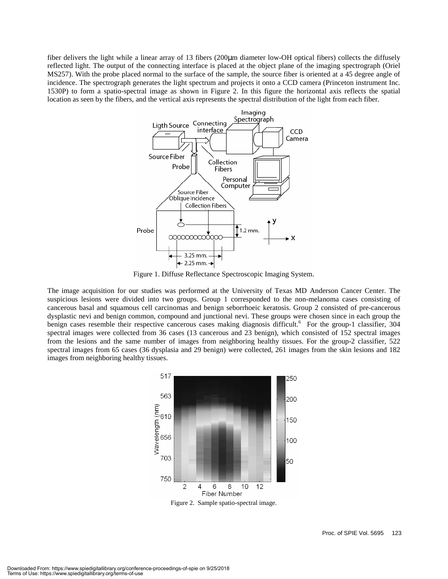fiber delivers the light while a linear array of 13 fibers (200µm diameter low-OH optical fibers) collects the diffusely reflected light. The output of the connecting interface is placed at the object plane of the imaging spectrograph (Oriel MS257). With the probe placed normal to the surface of the sample, the source fiber is oriented at a 45 degree angle of incidence. The spectrograph generates the light spectrum and projects it onto a CCD camera (Princeton instrument Inc. 1530P) to form a spatio-spectral image as shown in Figure 2. In this figure the horizontal axis reflects the spatial location as seen by the fibers, and the vertical axis represents the spectral distribution of the light from each fiber.



Figure 1. Diffuse Reflectance Spectroscopic Imaging System.

The image acquisition for our studies was performed at the University of Texas MD Anderson Cancer Center. The suspicious lesions were divided into two groups. Group 1 corresponded to the non-melanoma cases consisting of cancerous basal and squamous cell carcinomas and benign seborrhoeic keratosis. Group 2 consisted of pre-cancerous dysplastic nevi and benign common, compound and junctional nevi. These groups were chosen since in each group the benign cases resemble their respective cancerous cases making diagnosis difficult.<sup>6</sup> For the group-1 classifier, 304 spectral images were collected from 36 cases (13 cancerous and 23 benign), which consisted of 152 spectral images from the lesions and the same number of images from neighboring healthy tissues. For the group-2 classifier, 522 spectral images from 65 cases (36 dysplasia and 29 benign) were collected, 261 images from the skin lesions and 182 images from neighboring healthy tissues.



Figure 2. Sample spatio-spectral image.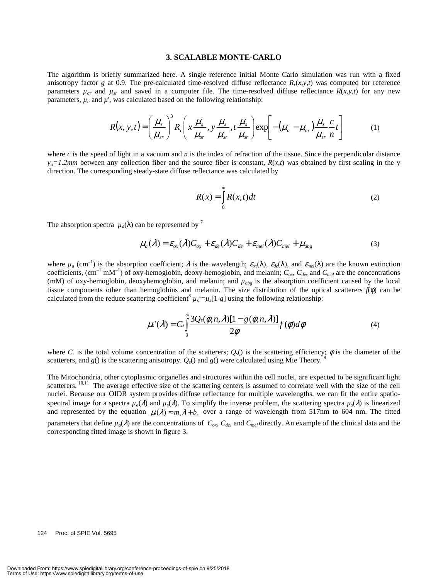#### **3. SCALABLE MONTE-CARLO**

The algorithm is briefly summarized here. A single reference initial Monte Carlo simulation was run with a fixed anisotropy factor *g* at 0.9. The pre-calculated time-resolved diffuse reflectance  $R_r(x, y, t)$  was computed for reference parameters  $\mu_{ar}$  and  $\mu_{sr}$  and saved in a computer file. The time-resolved diffuse reflectance  $R(x, y, t)$  for any new parameters,  $\mu_a$  and  $\mu'$ , was calculated based on the following relationship:

$$
R(x, y, t) = \left(\frac{\mu_s}{\mu_{sr}}\right)^3 R_r \left(x \frac{\mu_s}{\mu_{sr}}, y \frac{\mu_s}{\mu_{sr}}, t \frac{\mu_s}{\mu_{sr}}\right) \exp\left[-\left(\mu_a - \mu_{ar}\right) \frac{\mu_s}{\mu_{sr}} \frac{c}{n}t\right] \tag{1}
$$

where *c* is the speed of light in a vacuum and *n* is the index of refraction of the tissue. Since the perpendicular distance  $y_0=1.2$ *mm* between any collection fiber and the source fiber is constant,  $R(x,t)$  was obtained by first scaling in the y direction. The corresponding steady-state diffuse reflectance was calculated by

$$
R(x) = \int_{0}^{\infty} R(x, t)dt
$$
 (2)

The absorption spectra  $\mu_a(\lambda)$  can be represented by <sup>7</sup>

$$
\mu_a(\lambda) = \varepsilon_{ox}(\lambda)C_{ox} + \varepsilon_{de}(\lambda)C_{de} + \varepsilon_{mel}(\lambda)C_{mel} + \mu_{abg}
$$
\n(3)

where  $\mu_a$  (cm<sup>-1</sup>) is the absorption coefficient;  $\lambda$  is the wavelength;  $\varepsilon_{ox}(\lambda)$ ,  $\varepsilon_{de}(\lambda)$ , and  $\varepsilon_{mel}(\lambda)$  are the known extinction coefficients,  $(cm^{-1} mM^{-1})$  of oxy-hemoglobin, deoxy-hemoglobin, and melanin;  $C_{ox}$ ,  $C_{de}$ , and  $C_{mel}$  are the concentrations (mM) of oxy-hemoglobin, deoxyhemoglobin, and melanin; and  $\mu_{abg}$  is the absorption coefficient caused by the local tissue components other than hemoglobins and melanin. The size distribution of the optical scatterers *f*(φ) can be calculated from the reduce scattering coefficient<sup>8</sup>  $\mu_s = \mu_s[1-g]$  using the following relationship:

$$
\mu_s'(\lambda) = C_s \int_0^\infty \frac{3Q_s(\phi, n, \lambda)[1 - g(\phi, n, \lambda)]}{2\phi} f(\phi) d\phi
$$
\n(4)

where  $C_s$  is the total volume concentration of the scatterers;  $Q_s()$  is the scattering efficiency;  $\phi$  is the diameter of the scatterers, and  $g()$  is the scattering anisotropy.  $Q_s()$  and  $g()$  were calculated using Mie Theory.

The Mitochondria, other cytoplasmic organelles and structures within the cell nuclei, are expected to be significant light scatterers. <sup>10,11</sup> The average effective size of the scattering centers is assumed to correlate well with the size of the cell nuclei. Because our OIDR system provides diffuse reflectance for multiple wavelengths, we can fit the entire spatiospectral image for a spectra  $\mu_a(\lambda)$  and  $\mu_s(\lambda)$ . To simplify the inverse problem, the scattering spectra  $\mu_s(\lambda)$  is linearized and represented by the equation  $\mu_s(\lambda) \approx m_s \lambda + b_s$  over a range of wavelength from 517nm to 604 nm. The fitted parameters that define  $\mu_a(\lambda)$  are the concentrations of  $C_{ox}$ ,  $C_{de}$ , and  $C_{mel}$  directly. An example of the clinical data and the corresponding fitted image is shown in figure 3.

124 Proc. of SPIE Vol. 5695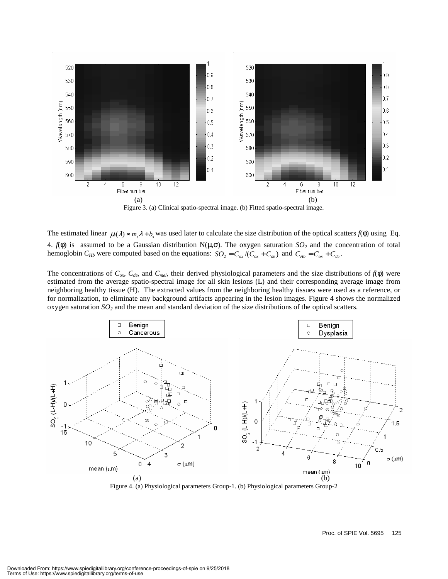

Figure 3. (a) Clinical spatio-spectral image. (b) Fitted spatio-spectral image.

The estimated linear  $\mu_s(\lambda) \approx m_s \lambda + b_s$  was used later to calculate the size distribution of the optical scatters  $f(\phi)$  using Eq. 4.  $f(φ)$  is assumed to be a Gaussian distribution N( $μ, σ$ ). The oxygen saturation *SO*<sub>2</sub> and the concentration of total hemoglobin  $C_{Hb}$  were computed based on the equations:  $SO_2 = C_{ox}/(C_{ox} + C_{de})$  and  $C_{Hb} = C_{ox} + C_{de}$ .

The concentrations of  $C_{ox}$ ,  $C_{de}$ , and  $C_{mel}$ , their derived physiological parameters and the size distributions of  $f(\phi)$  were estimated from the average spatio-spectral image for all skin lesions (L) and their corresponding average image from neighboring healthy tissue (H). The extracted values from the neighboring healthy tissues were used as a reference, or for normalization, to eliminate any background artifacts appearing in the lesion images. Figure 4 shows the normalized oxygen saturation *SO2* and the mean and standard deviation of the size distributions of the optical scatters.



Figure 4. (a) Physiological parameters Group-1. (b) Physiological parameters Group-2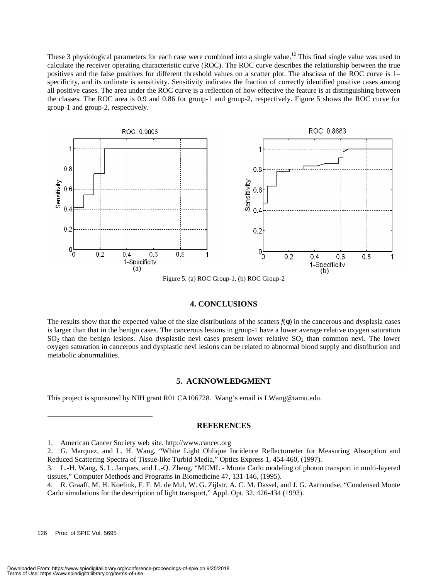These 3 physiological parameters for each case were combined into a single value.<sup>12</sup> This final single value was used to calculate the receiver operating characteristic curve (ROC). The ROC curve describes the relationship between the true positives and the false positives for different threshold values on a scatter plot. The abscissa of the ROC curve is 1– specificity, and its ordinate is sensitivity. Sensitivity indicates the fraction of correctly identified positive cases among all positive cases. The area under the ROC curve is a reflection of how effective the feature is at distinguishing between the classes. The ROC area is 0.9 and 0.86 for group-1 and group-2, respectively. Figure 5 shows the ROC curve for group-1 and group-2, respectively.



Figure 5. (a) ROC Group-1. (b) ROC Group-2

#### **4. CONCLUSIONS**

The results show that the expected value of the size distributions of the scatters  $f(\phi)$  in the cancerous and dysplasia cases is larger than that in the benign cases. The cancerous lesions in group-1 have a lower average relative oxygen saturation  $SO_2$  than the benign lesions. Also dysplastic nevi cases present lower relative  $SO_2$  than common nevi. The lower oxygen saturation in cancerous and dysplastic nevi lesions can be related to abnormal blood supply and distribution and metabolic abnormalities.

#### **5. ACKNOWLEDGMENT**

This project is sponsored by NIH grant R01 CA106728. Wang's email is LWang@tamu.edu.

#### **REFERENCES**

 $\overline{a}$ 

<sup>1.</sup> American Cancer Society web site. http://www.cancer.org

<sup>2.</sup> G. Marquez, and L. H. Wang, "White Light Oblique Incidence Reflectometer for Measuring Absorption and Reduced Scattering Spectra of Tissue-like Turbid Media," Optics Express 1, 454-460, (1997).

<sup>3.</sup> L.-H. Wang, S. L. Jacques, and L.-Q. Zheng, "MCML - Monte Carlo modeling of photon transport in multi-layered tissues," Computer Methods and Programs in Biomedicine 47, 131-146, (1995).

<sup>4.</sup> R. Graaff, M. H. Koelink, F. F. M. de Mul, W. G. Zijlstr, A. C. M. Dassel, and J. G. Aarnoudse, "Condensed Monte Carlo simulations for the description of light transport," Appl. Opt. 32, 426-434 (1993).